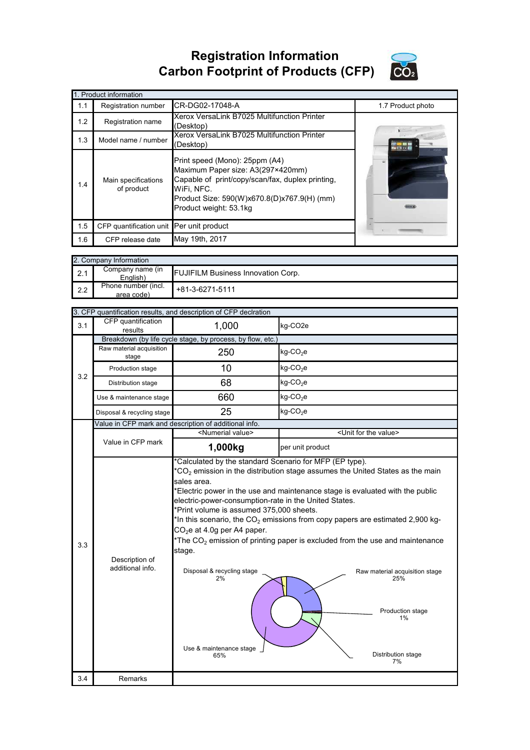## **Registration Information Carbon Footprint of Products (CFP)**



| 1. Product information |                                          |                                                                                                                                                                                                                |                   |  |
|------------------------|------------------------------------------|----------------------------------------------------------------------------------------------------------------------------------------------------------------------------------------------------------------|-------------------|--|
| 1.1                    | Registration number                      | CR-DG02-17048-A                                                                                                                                                                                                | 1.7 Product photo |  |
| 1.2                    | Registration name                        | Xerox VersaLink B7025 Multifunction Printer<br>(Desktop)                                                                                                                                                       |                   |  |
| 1.3                    | Model name / number                      | Xerox VersaLink B7025 Multifunction Printer<br>(Desktop)                                                                                                                                                       |                   |  |
| 1.4                    | Main specifications<br>of product        | Print speed (Mono): 25ppm (A4)<br>Maximum Paper size: A3(297×420mm)<br>Capable of print/copy/scan/fax, duplex printing,<br>WiFi. NFC.<br>Product Size: 590(W)x670.8(D)x767.9(H) (mm)<br>Product weight: 53.1kg |                   |  |
| 1.5                    | CFP quantification unit Per unit product |                                                                                                                                                                                                                |                   |  |
| 1.6                    | CFP release date                         | May 19th, 2017                                                                                                                                                                                                 |                   |  |

|     | 2. Company Information            |                                           |  |  |  |
|-----|-----------------------------------|-------------------------------------------|--|--|--|
| 2.1 | Company name (in<br>English)      | <b>FUJIFILM Business Innovation Corp.</b> |  |  |  |
| 2.2 | Phone number (incl.<br>area code) | $+81-3-6271-5111$                         |  |  |  |

|     | 3. CFP quantification results, and description of CFP declration |                                                                                                                                                                                                                                                                                             |                                                                                                                                                                                                                                                                                                                                                                                                                                      |  |  |
|-----|------------------------------------------------------------------|---------------------------------------------------------------------------------------------------------------------------------------------------------------------------------------------------------------------------------------------------------------------------------------------|--------------------------------------------------------------------------------------------------------------------------------------------------------------------------------------------------------------------------------------------------------------------------------------------------------------------------------------------------------------------------------------------------------------------------------------|--|--|
| 3.1 | CFP quantification<br>results                                    | 1,000                                                                                                                                                                                                                                                                                       | kg-CO <sub>2</sub> e                                                                                                                                                                                                                                                                                                                                                                                                                 |  |  |
|     | Breakdown (by life cycle stage, by process, by flow, etc.)       |                                                                                                                                                                                                                                                                                             |                                                                                                                                                                                                                                                                                                                                                                                                                                      |  |  |
|     | Raw material acquisition<br>stage                                | 250                                                                                                                                                                                                                                                                                         | $kg$ -CO <sub>2</sub> e                                                                                                                                                                                                                                                                                                                                                                                                              |  |  |
| 3.2 | Production stage                                                 | 10                                                                                                                                                                                                                                                                                          | $kg$ -CO <sub>2</sub> e                                                                                                                                                                                                                                                                                                                                                                                                              |  |  |
|     | Distribution stage                                               | 68                                                                                                                                                                                                                                                                                          | $kg$ -CO <sub>2</sub> e                                                                                                                                                                                                                                                                                                                                                                                                              |  |  |
|     | Use & maintenance stage                                          | 660                                                                                                                                                                                                                                                                                         | $kg$ -CO <sub>2</sub> e                                                                                                                                                                                                                                                                                                                                                                                                              |  |  |
|     | Disposal & recycling stage                                       | 25                                                                                                                                                                                                                                                                                          | $kg$ -CO <sub>2</sub> e                                                                                                                                                                                                                                                                                                                                                                                                              |  |  |
|     |                                                                  | Value in CFP mark and description of additional info.                                                                                                                                                                                                                                       |                                                                                                                                                                                                                                                                                                                                                                                                                                      |  |  |
|     |                                                                  | <numerial value=""></numerial>                                                                                                                                                                                                                                                              | <unit for="" the="" value=""></unit>                                                                                                                                                                                                                                                                                                                                                                                                 |  |  |
|     | Value in CFP mark                                                | 1,000kg                                                                                                                                                                                                                                                                                     | per unit product                                                                                                                                                                                                                                                                                                                                                                                                                     |  |  |
| 3.3 | Description of<br>additional info.                               | *Calculated by the standard Scenario for MFP (EP type).<br>sales area.<br>electric-power-consumption-rate in the United States.<br>*Print volume is assumed 375,000 sheets.<br>$CO2e$ at 4.0g per A4 paper.<br>stage.<br>Disposal & recycling stage<br>2%<br>Use & maintenance stage<br>65% | $*CO2$ emission in the distribution stage assumes the United States as the main<br>*Electric power in the use and maintenance stage is evaluated with the public<br>*In this scenario, the $CO2$ emissions from copy papers are estimated 2,900 kg-<br>*The $CO2$ emission of printing paper is excluded from the use and maintenance<br>Raw material acquisition stage<br>25%<br>Production stage<br>1%<br>Distribution stage<br>7% |  |  |
| 3.4 | Remarks                                                          |                                                                                                                                                                                                                                                                                             |                                                                                                                                                                                                                                                                                                                                                                                                                                      |  |  |